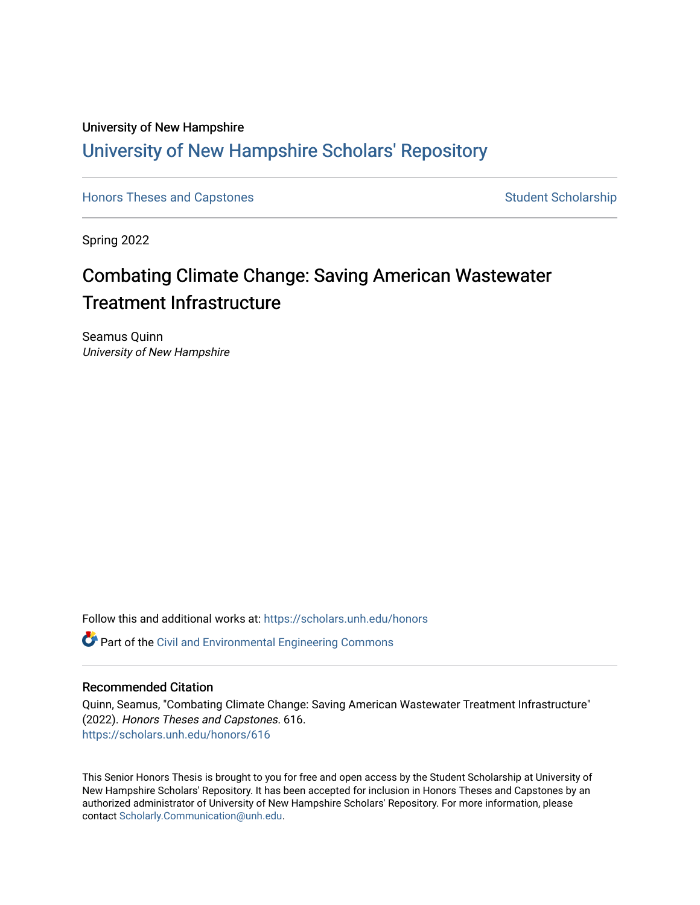## University of New Hampshire [University of New Hampshire Scholars' Repository](https://scholars.unh.edu/)

[Honors Theses and Capstones](https://scholars.unh.edu/honors) [Student Scholarship](https://scholars.unh.edu/student) Student Scholarship

Spring 2022

# Combating Climate Change: Saving American Wastewater Treatment Infrastructure

Seamus Quinn University of New Hampshire

Follow this and additional works at: [https://scholars.unh.edu/honors](https://scholars.unh.edu/honors?utm_source=scholars.unh.edu%2Fhonors%2F616&utm_medium=PDF&utm_campaign=PDFCoverPages) 

Part of the [Civil and Environmental Engineering Commons](http://network.bepress.com/hgg/discipline/251?utm_source=scholars.unh.edu%2Fhonors%2F616&utm_medium=PDF&utm_campaign=PDFCoverPages)

#### Recommended Citation

Quinn, Seamus, "Combating Climate Change: Saving American Wastewater Treatment Infrastructure" (2022). Honors Theses and Capstones. 616. [https://scholars.unh.edu/honors/616](https://scholars.unh.edu/honors/616?utm_source=scholars.unh.edu%2Fhonors%2F616&utm_medium=PDF&utm_campaign=PDFCoverPages) 

This Senior Honors Thesis is brought to you for free and open access by the Student Scholarship at University of New Hampshire Scholars' Repository. It has been accepted for inclusion in Honors Theses and Capstones by an authorized administrator of University of New Hampshire Scholars' Repository. For more information, please contact [Scholarly.Communication@unh.edu.](mailto:Scholarly.Communication@unh.edu)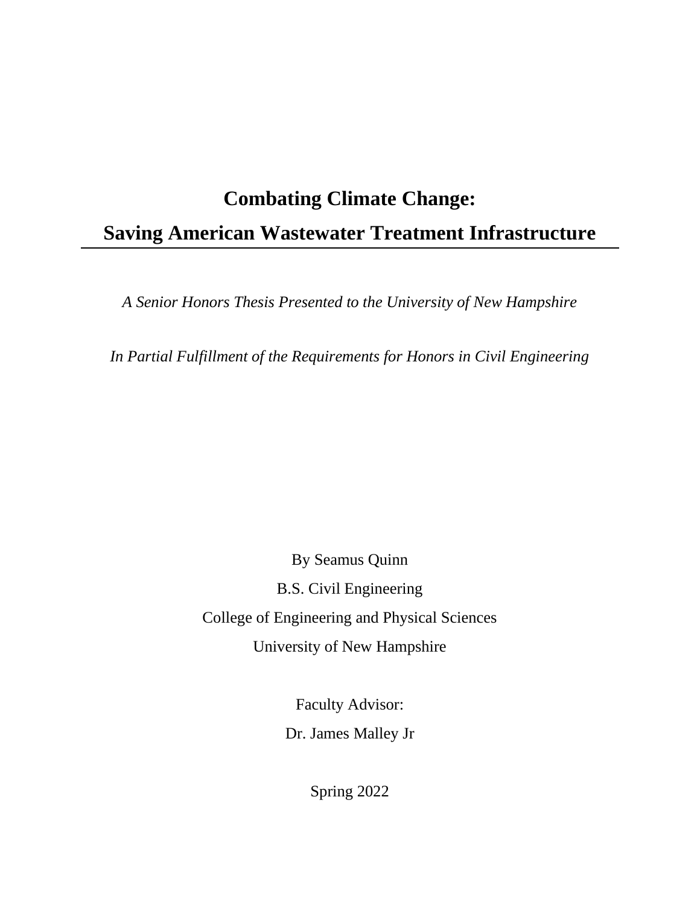# **Combating Climate Change: Saving American Wastewater Treatment Infrastructure**

*A Senior Honors Thesis Presented to the University of New Hampshire*

*In Partial Fulfillment of the Requirements for Honors in Civil Engineering*

By Seamus Quinn B.S. Civil Engineering College of Engineering and Physical Sciences University of New Hampshire

> Faculty Advisor: Dr. James Malley Jr

> > Spring 2022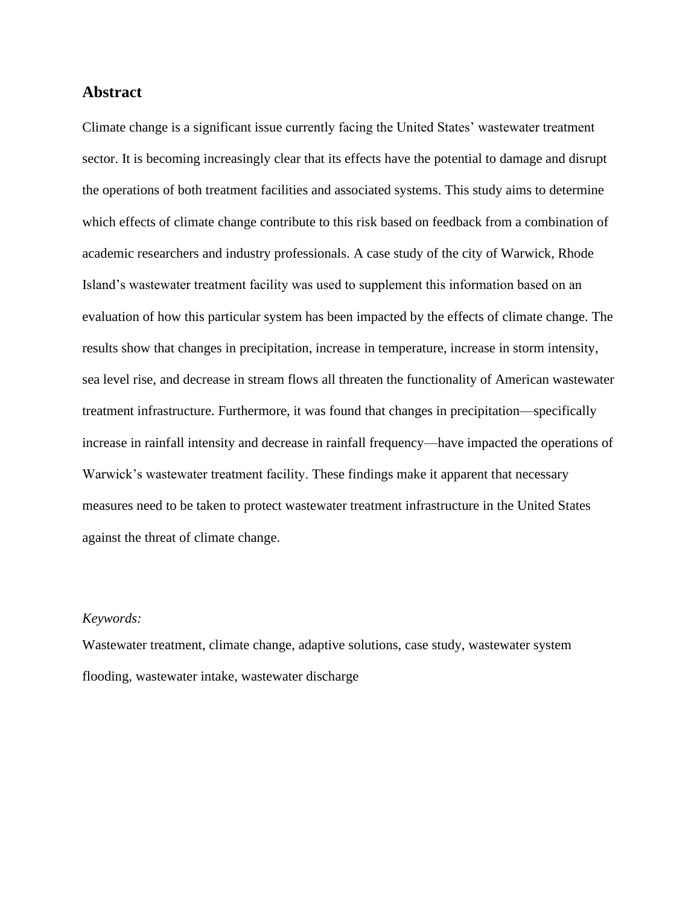#### **Abstract**

Climate change is a significant issue currently facing the United States' wastewater treatment sector. It is becoming increasingly clear that its effects have the potential to damage and disrupt the operations of both treatment facilities and associated systems. This study aims to determine which effects of climate change contribute to this risk based on feedback from a combination of academic researchers and industry professionals. A case study of the city of Warwick, Rhode Island's wastewater treatment facility was used to supplement this information based on an evaluation of how this particular system has been impacted by the effects of climate change. The results show that changes in precipitation, increase in temperature, increase in storm intensity, sea level rise, and decrease in stream flows all threaten the functionality of American wastewater treatment infrastructure. Furthermore, it was found that changes in precipitation—specifically increase in rainfall intensity and decrease in rainfall frequency—have impacted the operations of Warwick's wastewater treatment facility. These findings make it apparent that necessary measures need to be taken to protect wastewater treatment infrastructure in the United States against the threat of climate change.

#### *Keywords:*

Wastewater treatment, climate change, adaptive solutions, case study, wastewater system flooding, wastewater intake, wastewater discharge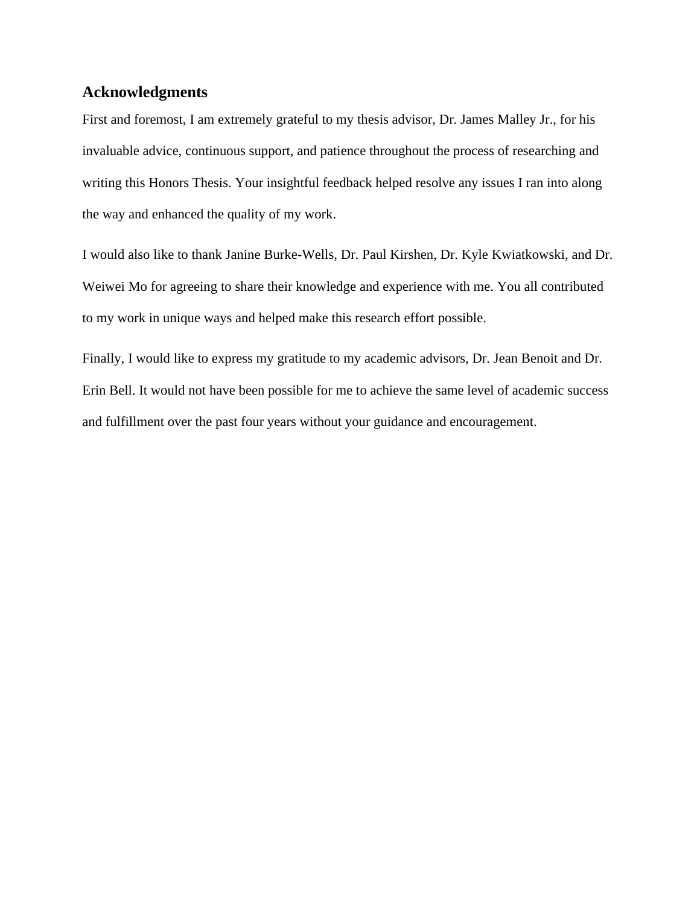### **Acknowledgments**

First and foremost, I am extremely grateful to my thesis advisor, Dr. James Malley Jr., for his invaluable advice, continuous support, and patience throughout the process of researching and writing this Honors Thesis. Your insightful feedback helped resolve any issues I ran into along the way and enhanced the quality of my work.

I would also like to thank Janine Burke-Wells, Dr. Paul Kirshen, Dr. Kyle Kwiatkowski, and Dr. Weiwei Mo for agreeing to share their knowledge and experience with me. You all contributed to my work in unique ways and helped make this research effort possible.

Finally, I would like to express my gratitude to my academic advisors, Dr. Jean Benoit and Dr. Erin Bell. It would not have been possible for me to achieve the same level of academic success and fulfillment over the past four years without your guidance and encouragement.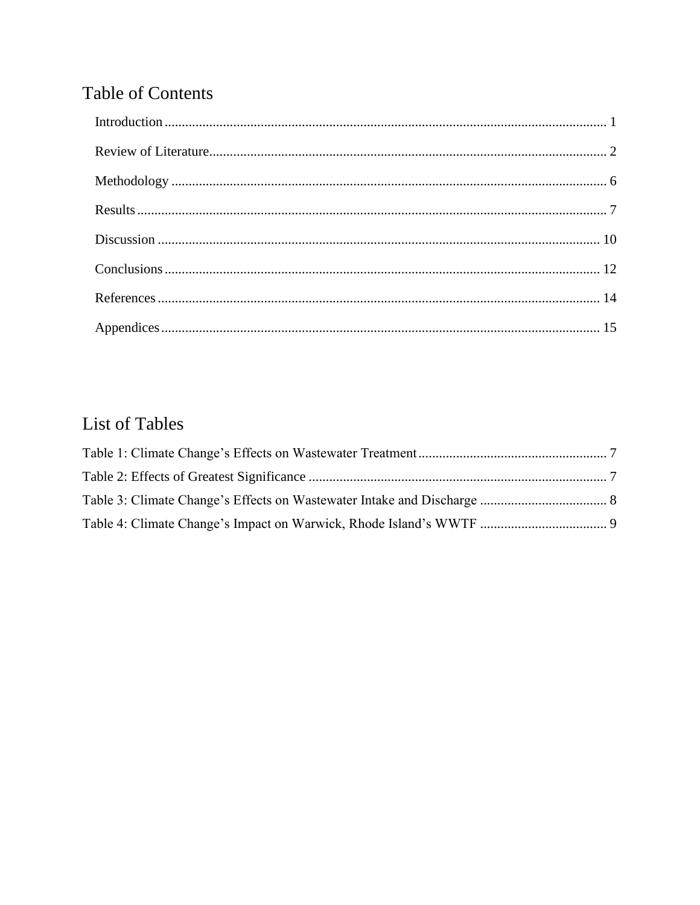# **Table of Contents**

# List of Tables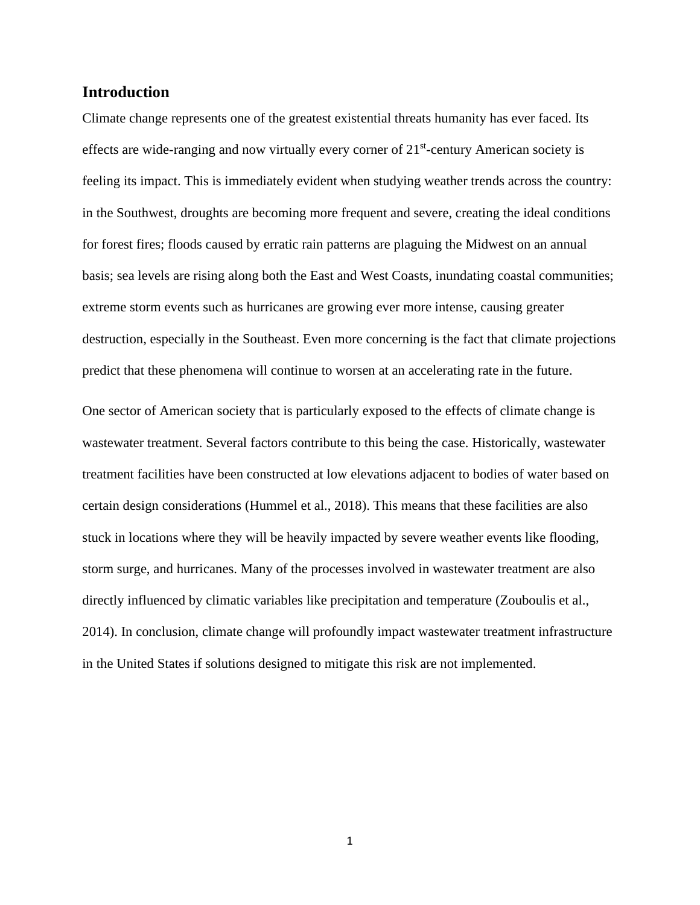#### <span id="page-5-0"></span>**Introduction**

Climate change represents one of the greatest existential threats humanity has ever faced. Its effects are wide-ranging and now virtually every corner of  $21<sup>st</sup>$ -century American society is feeling its impact. This is immediately evident when studying weather trends across the country: in the Southwest, droughts are becoming more frequent and severe, creating the ideal conditions for forest fires; floods caused by erratic rain patterns are plaguing the Midwest on an annual basis; sea levels are rising along both the East and West Coasts, inundating coastal communities; extreme storm events such as hurricanes are growing ever more intense, causing greater destruction, especially in the Southeast. Even more concerning is the fact that climate projections predict that these phenomena will continue to worsen at an accelerating rate in the future.

One sector of American society that is particularly exposed to the effects of climate change is wastewater treatment. Several factors contribute to this being the case. Historically, wastewater treatment facilities have been constructed at low elevations adjacent to bodies of water based on certain design considerations (Hummel et al., 2018). This means that these facilities are also stuck in locations where they will be heavily impacted by severe weather events like flooding, storm surge, and hurricanes. Many of the processes involved in wastewater treatment are also directly influenced by climatic variables like precipitation and temperature (Zouboulis et al., 2014). In conclusion, climate change will profoundly impact wastewater treatment infrastructure in the United States if solutions designed to mitigate this risk are not implemented.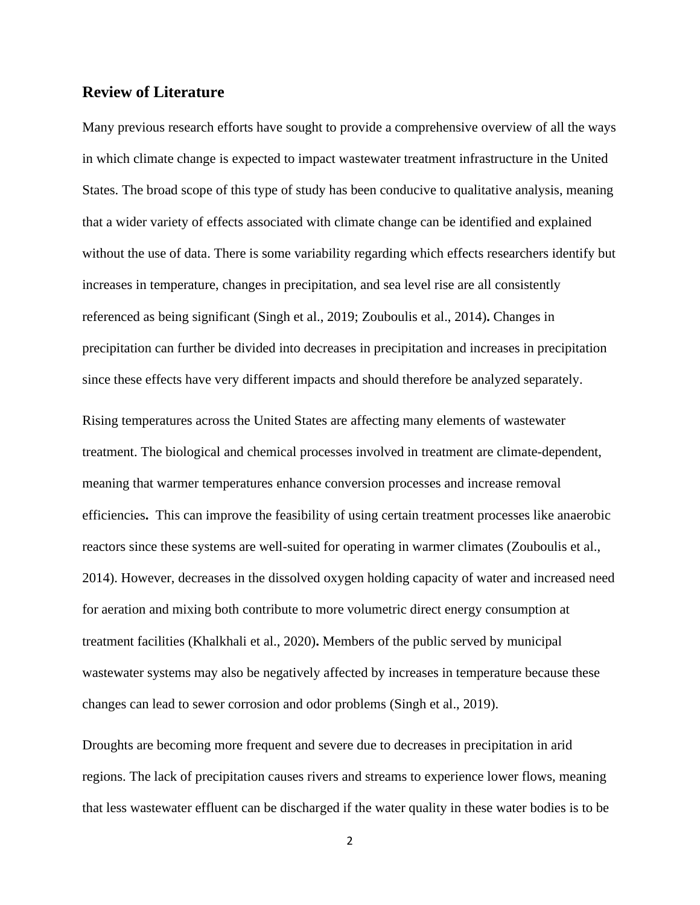#### <span id="page-6-0"></span>**Review of Literature**

Many previous research efforts have sought to provide a comprehensive overview of all the ways in which climate change is expected to impact wastewater treatment infrastructure in the United States. The broad scope of this type of study has been conducive to qualitative analysis, meaning that a wider variety of effects associated with climate change can be identified and explained without the use of data. There is some variability regarding which effects researchers identify but increases in temperature, changes in precipitation, and sea level rise are all consistently referenced as being significant (Singh et al., 2019; Zouboulis et al., 2014)**.** Changes in precipitation can further be divided into decreases in precipitation and increases in precipitation since these effects have very different impacts and should therefore be analyzed separately.

Rising temperatures across the United States are affecting many elements of wastewater treatment. The biological and chemical processes involved in treatment are climate-dependent, meaning that warmer temperatures enhance conversion processes and increase removal efficiencies**.** This can improve the feasibility of using certain treatment processes like anaerobic reactors since these systems are well-suited for operating in warmer climates (Zouboulis et al., 2014). However, decreases in the dissolved oxygen holding capacity of water and increased need for aeration and mixing both contribute to more volumetric direct energy consumption at treatment facilities (Khalkhali et al., 2020)**.** Members of the public served by municipal wastewater systems may also be negatively affected by increases in temperature because these changes can lead to sewer corrosion and odor problems (Singh et al., 2019).

Droughts are becoming more frequent and severe due to decreases in precipitation in arid regions. The lack of precipitation causes rivers and streams to experience lower flows, meaning that less wastewater effluent can be discharged if the water quality in these water bodies is to be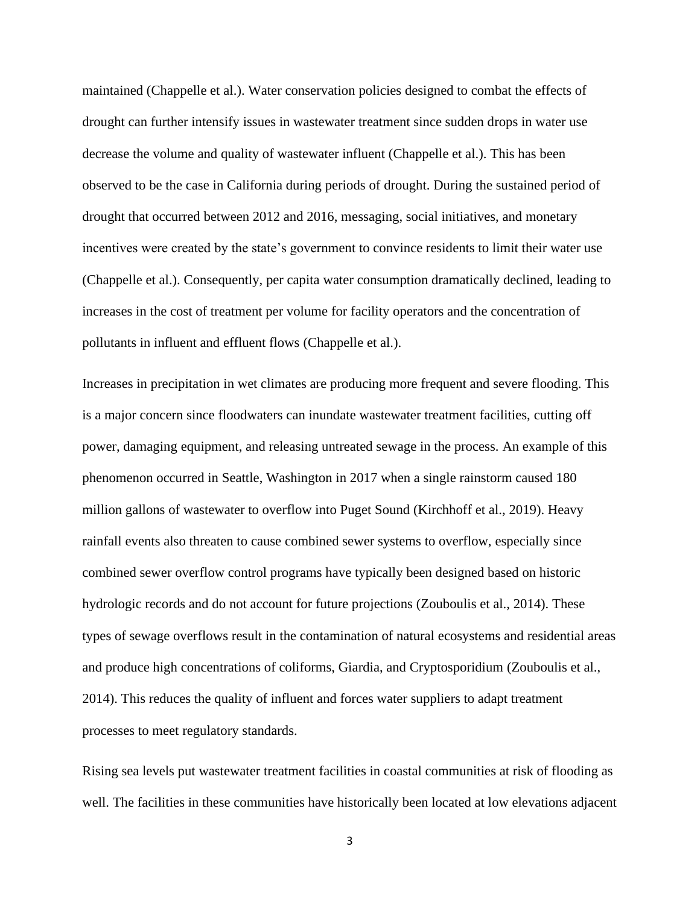maintained (Chappelle et al.). Water conservation policies designed to combat the effects of drought can further intensify issues in wastewater treatment since sudden drops in water use decrease the volume and quality of wastewater influent (Chappelle et al.). This has been observed to be the case in California during periods of drought. During the sustained period of drought that occurred between 2012 and 2016, messaging, social initiatives, and monetary incentives were created by the state's government to convince residents to limit their water use (Chappelle et al.). Consequently, per capita water consumption dramatically declined, leading to increases in the cost of treatment per volume for facility operators and the concentration of pollutants in influent and effluent flows (Chappelle et al.).

Increases in precipitation in wet climates are producing more frequent and severe flooding. This is a major concern since floodwaters can inundate wastewater treatment facilities, cutting off power, damaging equipment, and releasing untreated sewage in the process. An example of this phenomenon occurred in Seattle, Washington in 2017 when a single rainstorm caused 180 million gallons of wastewater to overflow into Puget Sound (Kirchhoff et al., 2019). Heavy rainfall events also threaten to cause combined sewer systems to overflow, especially since combined sewer overflow control programs have typically been designed based on historic hydrologic records and do not account for future projections (Zouboulis et al., 2014). These types of sewage overflows result in the contamination of natural ecosystems and residential areas and produce high concentrations of coliforms, Giardia, and Cryptosporidium (Zouboulis et al., 2014). This reduces the quality of influent and forces water suppliers to adapt treatment processes to meet regulatory standards.

Rising sea levels put wastewater treatment facilities in coastal communities at risk of flooding as well. The facilities in these communities have historically been located at low elevations adjacent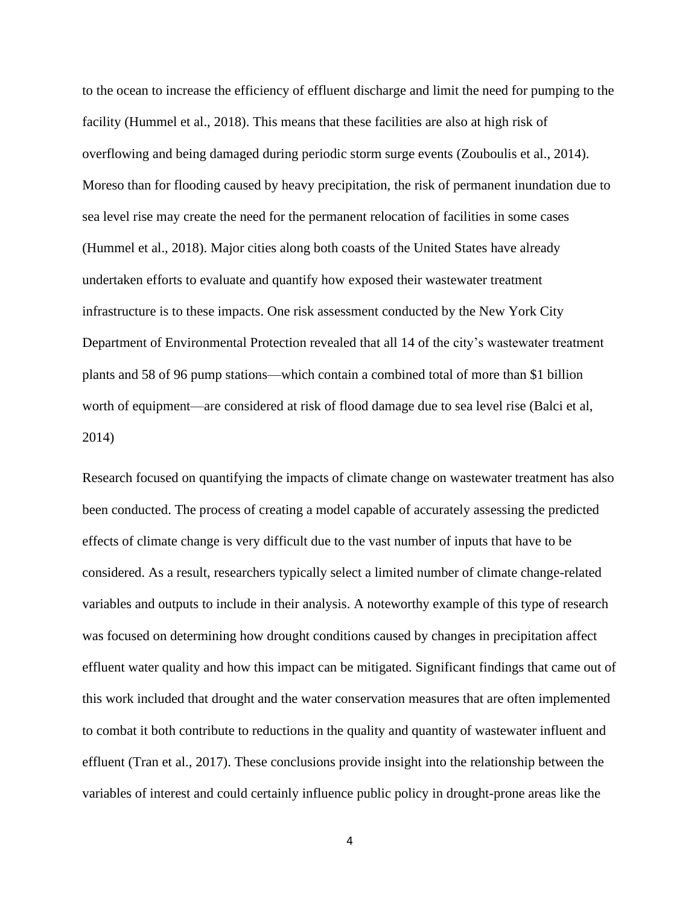to the ocean to increase the efficiency of effluent discharge and limit the need for pumping to the facility (Hummel et al., 2018). This means that these facilities are also at high risk of overflowing and being damaged during periodic storm surge events (Zouboulis et al., 2014). Moreso than for flooding caused by heavy precipitation, the risk of permanent inundation due to sea level rise may create the need for the permanent relocation of facilities in some cases (Hummel et al., 2018). Major cities along both coasts of the United States have already undertaken efforts to evaluate and quantify how exposed their wastewater treatment infrastructure is to these impacts. One risk assessment conducted by the New York City Department of Environmental Protection revealed that all 14 of the city's wastewater treatment plants and 58 of 96 pump stations—which contain a combined total of more than \$1 billion worth of equipment—are considered at risk of flood damage due to sea level rise (Balci et al, 2014)

Research focused on quantifying the impacts of climate change on wastewater treatment has also been conducted. The process of creating a model capable of accurately assessing the predicted effects of climate change is very difficult due to the vast number of inputs that have to be considered. As a result, researchers typically select a limited number of climate change-related variables and outputs to include in their analysis. A noteworthy example of this type of research was focused on determining how drought conditions caused by changes in precipitation affect effluent water quality and how this impact can be mitigated. Significant findings that came out of this work included that drought and the water conservation measures that are often implemented to combat it both contribute to reductions in the quality and quantity of wastewater influent and effluent (Tran et al., 2017). These conclusions provide insight into the relationship between the variables of interest and could certainly influence public policy in drought-prone areas like the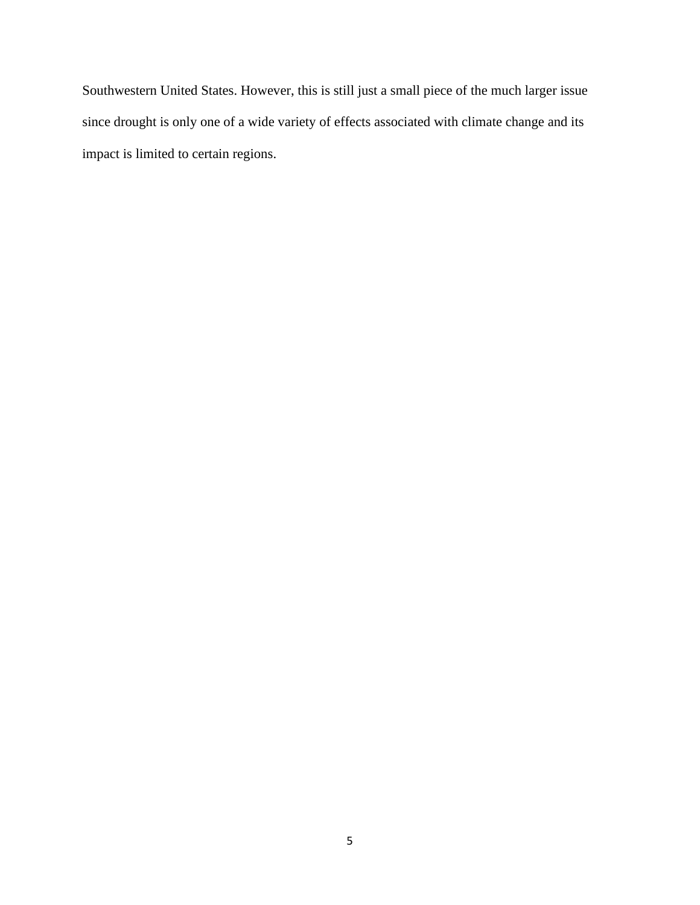Southwestern United States. However, this is still just a small piece of the much larger issue since drought is only one of a wide variety of effects associated with climate change and its impact is limited to certain regions.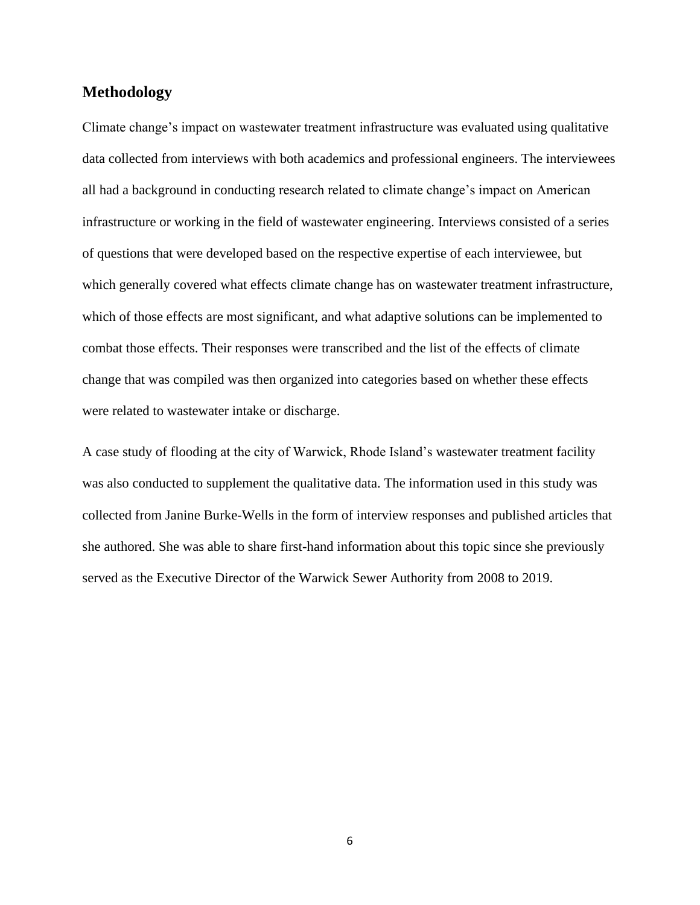#### <span id="page-10-0"></span>**Methodology**

Climate change's impact on wastewater treatment infrastructure was evaluated using qualitative data collected from interviews with both academics and professional engineers. The interviewees all had a background in conducting research related to climate change's impact on American infrastructure or working in the field of wastewater engineering. Interviews consisted of a series of questions that were developed based on the respective expertise of each interviewee, but which generally covered what effects climate change has on wastewater treatment infrastructure, which of those effects are most significant, and what adaptive solutions can be implemented to combat those effects. Their responses were transcribed and the list of the effects of climate change that was compiled was then organized into categories based on whether these effects were related to wastewater intake or discharge.

A case study of flooding at the city of Warwick, Rhode Island's wastewater treatment facility was also conducted to supplement the qualitative data. The information used in this study was collected from Janine Burke-Wells in the form of interview responses and published articles that she authored. She was able to share first-hand information about this topic since she previously served as the Executive Director of the Warwick Sewer Authority from 2008 to 2019.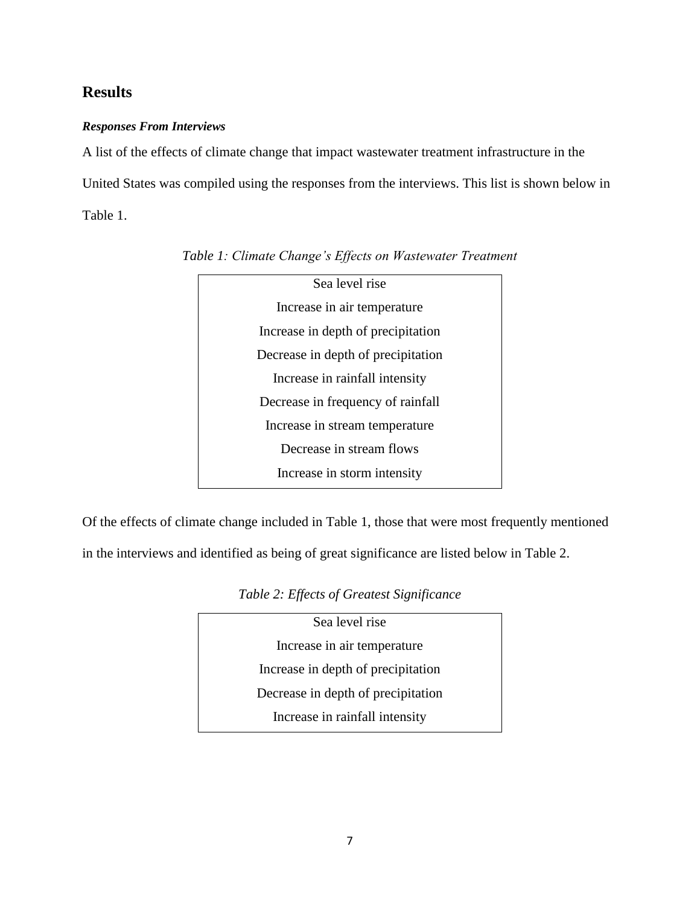### <span id="page-11-0"></span>**Results**

#### *Responses From Interviews*

A list of the effects of climate change that impact wastewater treatment infrastructure in the United States was compiled using the responses from the interviews. This list is shown below in Table 1.



*Table 1: Climate Change's Effects on Wastewater Treatment*

Of the effects of climate change included in Table 1, those that were most frequently mentioned

in the interviews and identified as being of great significance are listed below in Table 2.

| Sea level rise                     |  |
|------------------------------------|--|
| Increase in air temperature        |  |
| Increase in depth of precipitation |  |
| Decrease in depth of precipitation |  |
| Increase in rainfall intensity     |  |
|                                    |  |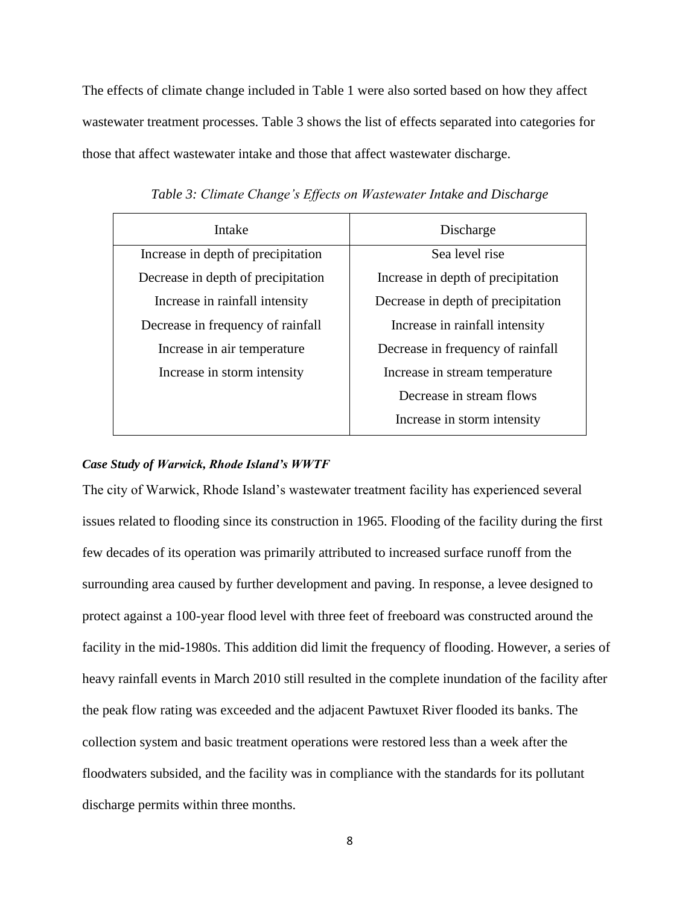The effects of climate change included in Table 1 were also sorted based on how they affect wastewater treatment processes. Table 3 shows the list of effects separated into categories for those that affect wastewater intake and those that affect wastewater discharge.

| Intake                             | Discharge                          |
|------------------------------------|------------------------------------|
| Increase in depth of precipitation | Sea level rise                     |
| Decrease in depth of precipitation | Increase in depth of precipitation |
| Increase in rainfall intensity     | Decrease in depth of precipitation |
| Decrease in frequency of rainfall  | Increase in rainfall intensity     |
| Increase in air temperature        | Decrease in frequency of rainfall  |
| Increase in storm intensity        | Increase in stream temperature     |
|                                    | Decrease in stream flows           |
|                                    | Increase in storm intensity        |

*Table 3: Climate Change's Effects on Wastewater Intake and Discharge*

#### *Case Study of Warwick, Rhode Island's WWTF*

The city of Warwick, Rhode Island's wastewater treatment facility has experienced several issues related to flooding since its construction in 1965. Flooding of the facility during the first few decades of its operation was primarily attributed to increased surface runoff from the surrounding area caused by further development and paving. In response, a levee designed to protect against a 100-year flood level with three feet of freeboard was constructed around the facility in the mid-1980s. This addition did limit the frequency of flooding. However, a series of heavy rainfall events in March 2010 still resulted in the complete inundation of the facility after the peak flow rating was exceeded and the adjacent Pawtuxet River flooded its banks. The collection system and basic treatment operations were restored less than a week after the floodwaters subsided, and the facility was in compliance with the standards for its pollutant discharge permits within three months.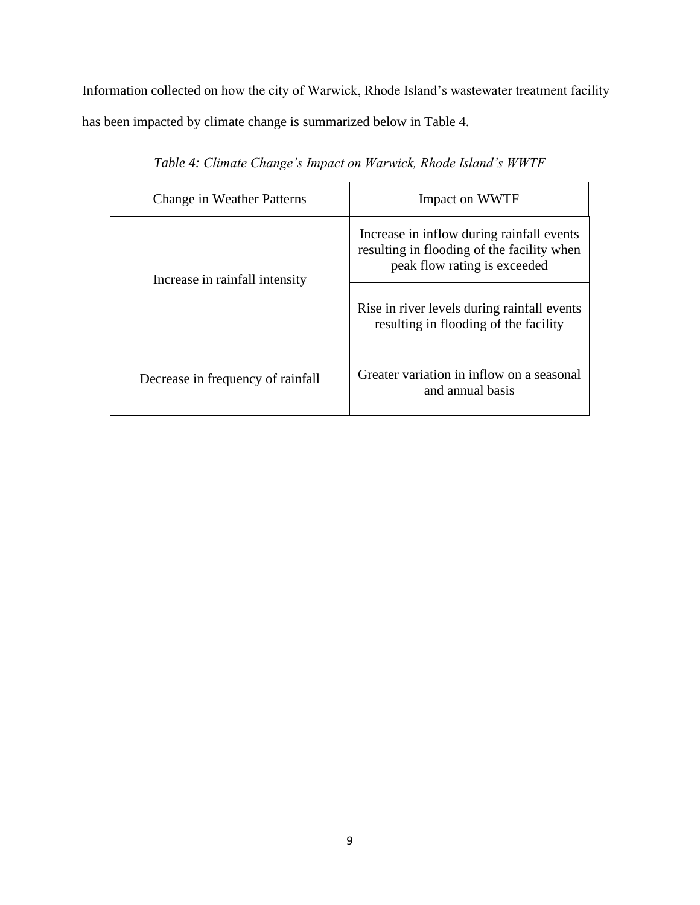Information collected on how the city of Warwick, Rhode Island's wastewater treatment facility has been impacted by climate change is summarized below in Table 4.

| <b>Change in Weather Patterns</b> | Impact on WWTF                                                                                                          |
|-----------------------------------|-------------------------------------------------------------------------------------------------------------------------|
| Increase in rainfall intensity    | Increase in inflow during rainfall events<br>resulting in flooding of the facility when<br>peak flow rating is exceeded |
|                                   | Rise in river levels during rainfall events<br>resulting in flooding of the facility                                    |
| Decrease in frequency of rainfall | Greater variation in inflow on a seasonal<br>and annual basis                                                           |

*Table 4: Climate Change's Impact on Warwick, Rhode Island's WWTF*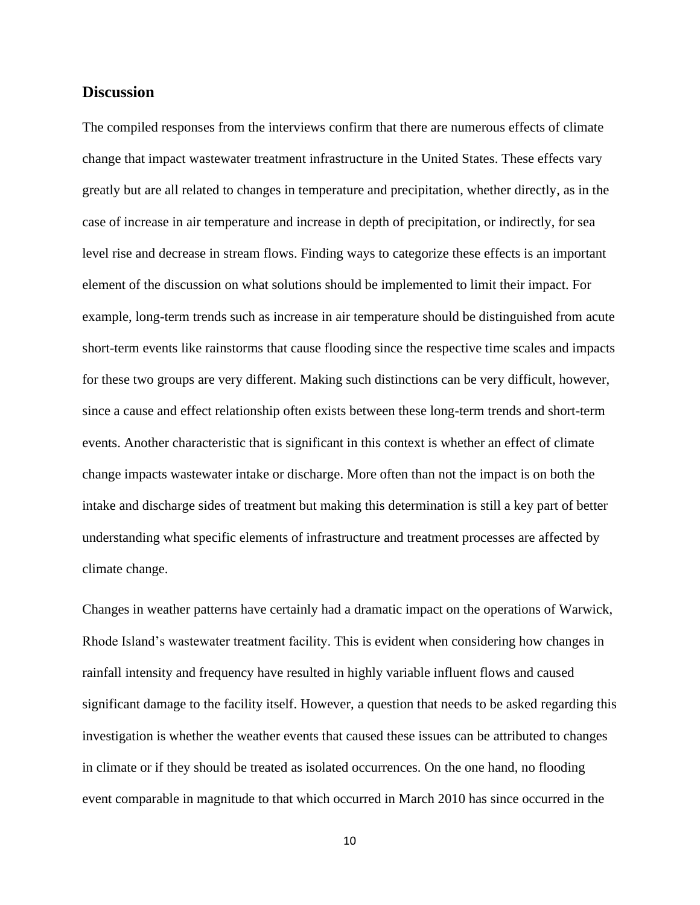#### <span id="page-14-0"></span>**Discussion**

The compiled responses from the interviews confirm that there are numerous effects of climate change that impact wastewater treatment infrastructure in the United States. These effects vary greatly but are all related to changes in temperature and precipitation, whether directly, as in the case of increase in air temperature and increase in depth of precipitation, or indirectly, for sea level rise and decrease in stream flows. Finding ways to categorize these effects is an important element of the discussion on what solutions should be implemented to limit their impact. For example, long-term trends such as increase in air temperature should be distinguished from acute short-term events like rainstorms that cause flooding since the respective time scales and impacts for these two groups are very different. Making such distinctions can be very difficult, however, since a cause and effect relationship often exists between these long-term trends and short-term events. Another characteristic that is significant in this context is whether an effect of climate change impacts wastewater intake or discharge. More often than not the impact is on both the intake and discharge sides of treatment but making this determination is still a key part of better understanding what specific elements of infrastructure and treatment processes are affected by climate change.

Changes in weather patterns have certainly had a dramatic impact on the operations of Warwick, Rhode Island's wastewater treatment facility. This is evident when considering how changes in rainfall intensity and frequency have resulted in highly variable influent flows and caused significant damage to the facility itself. However, a question that needs to be asked regarding this investigation is whether the weather events that caused these issues can be attributed to changes in climate or if they should be treated as isolated occurrences. On the one hand, no flooding event comparable in magnitude to that which occurred in March 2010 has since occurred in the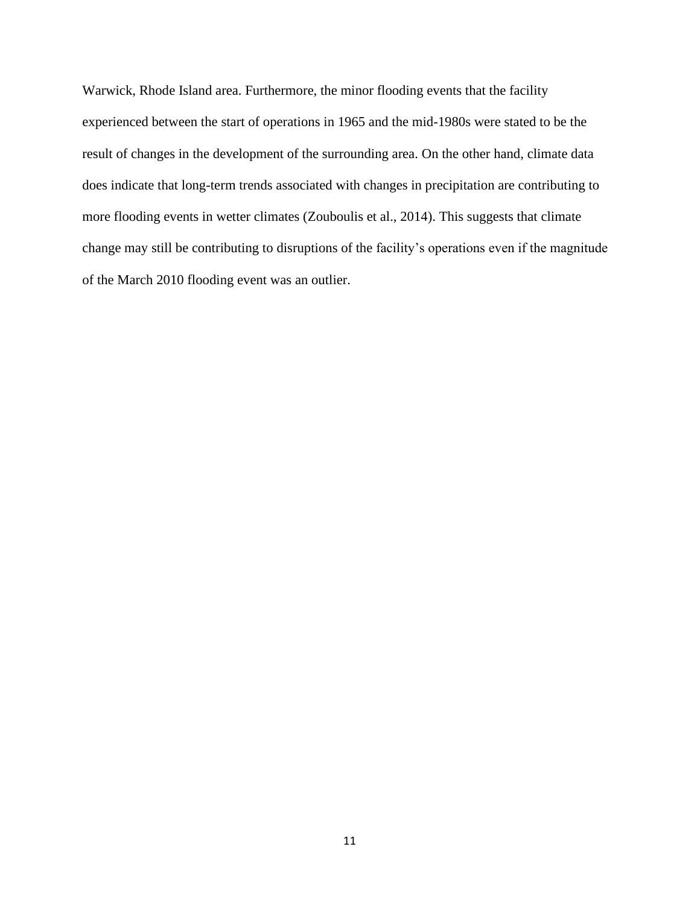Warwick, Rhode Island area. Furthermore, the minor flooding events that the facility experienced between the start of operations in 1965 and the mid-1980s were stated to be the result of changes in the development of the surrounding area. On the other hand, climate data does indicate that long-term trends associated with changes in precipitation are contributing to more flooding events in wetter climates (Zouboulis et al., 2014). This suggests that climate change may still be contributing to disruptions of the facility's operations even if the magnitude of the March 2010 flooding event was an outlier.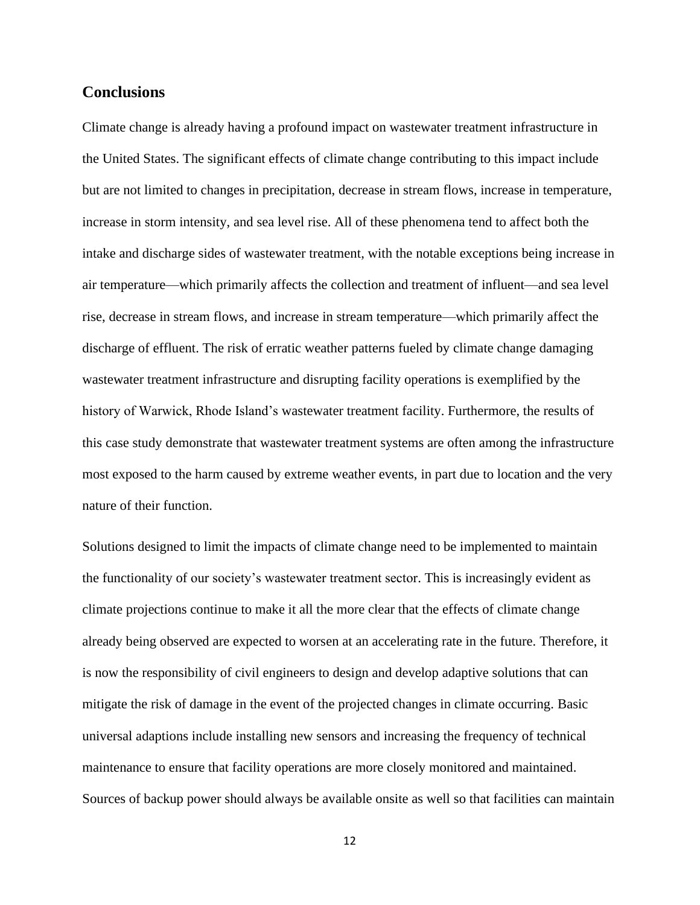#### <span id="page-16-0"></span>**Conclusions**

Climate change is already having a profound impact on wastewater treatment infrastructure in the United States. The significant effects of climate change contributing to this impact include but are not limited to changes in precipitation, decrease in stream flows, increase in temperature, increase in storm intensity, and sea level rise. All of these phenomena tend to affect both the intake and discharge sides of wastewater treatment, with the notable exceptions being increase in air temperature—which primarily affects the collection and treatment of influent—and sea level rise, decrease in stream flows, and increase in stream temperature—which primarily affect the discharge of effluent. The risk of erratic weather patterns fueled by climate change damaging wastewater treatment infrastructure and disrupting facility operations is exemplified by the history of Warwick, Rhode Island's wastewater treatment facility. Furthermore, the results of this case study demonstrate that wastewater treatment systems are often among the infrastructure most exposed to the harm caused by extreme weather events, in part due to location and the very nature of their function.

Solutions designed to limit the impacts of climate change need to be implemented to maintain the functionality of our society's wastewater treatment sector. This is increasingly evident as climate projections continue to make it all the more clear that the effects of climate change already being observed are expected to worsen at an accelerating rate in the future. Therefore, it is now the responsibility of civil engineers to design and develop adaptive solutions that can mitigate the risk of damage in the event of the projected changes in climate occurring. Basic universal adaptions include installing new sensors and increasing the frequency of technical maintenance to ensure that facility operations are more closely monitored and maintained. Sources of backup power should always be available onsite as well so that facilities can maintain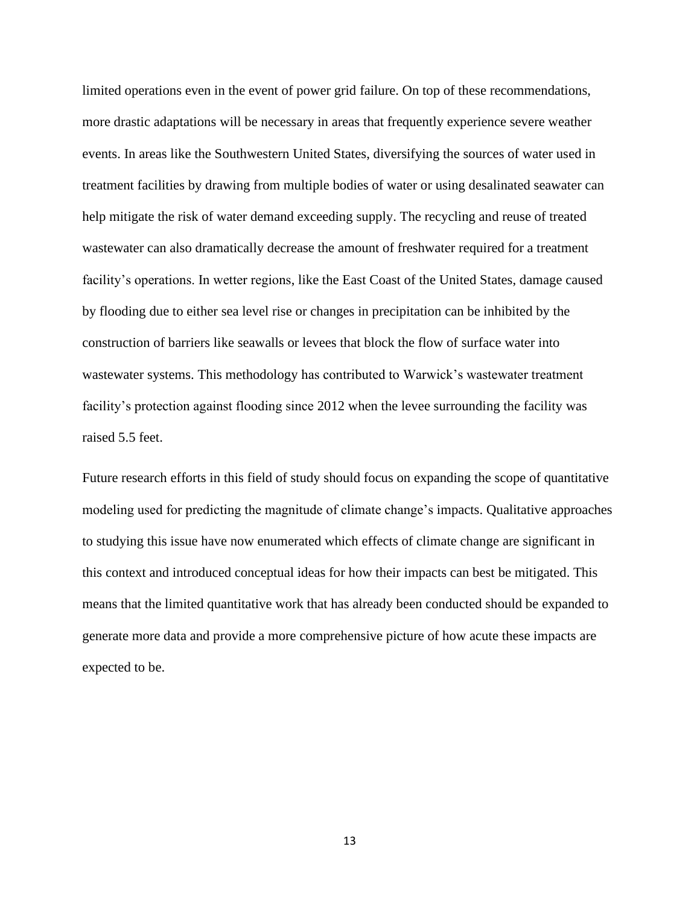limited operations even in the event of power grid failure. On top of these recommendations, more drastic adaptations will be necessary in areas that frequently experience severe weather events. In areas like the Southwestern United States, diversifying the sources of water used in treatment facilities by drawing from multiple bodies of water or using desalinated seawater can help mitigate the risk of water demand exceeding supply. The recycling and reuse of treated wastewater can also dramatically decrease the amount of freshwater required for a treatment facility's operations. In wetter regions, like the East Coast of the United States, damage caused by flooding due to either sea level rise or changes in precipitation can be inhibited by the construction of barriers like seawalls or levees that block the flow of surface water into wastewater systems. This methodology has contributed to Warwick's wastewater treatment facility's protection against flooding since 2012 when the levee surrounding the facility was raised 5.5 feet.

Future research efforts in this field of study should focus on expanding the scope of quantitative modeling used for predicting the magnitude of climate change's impacts. Qualitative approaches to studying this issue have now enumerated which effects of climate change are significant in this context and introduced conceptual ideas for how their impacts can best be mitigated. This means that the limited quantitative work that has already been conducted should be expanded to generate more data and provide a more comprehensive picture of how acute these impacts are expected to be.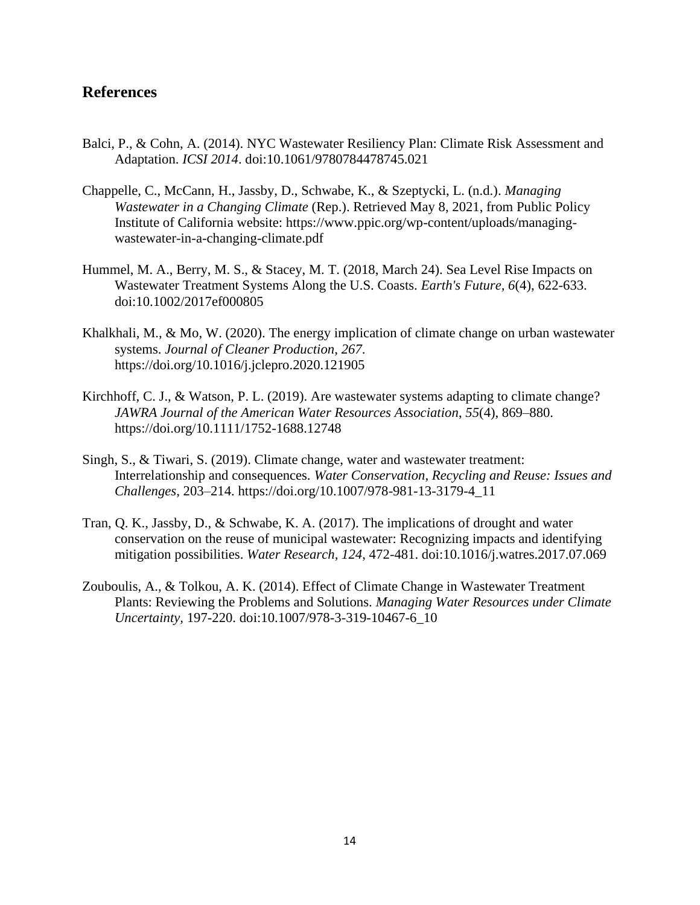#### <span id="page-18-0"></span>**References**

- Balci, P., & Cohn, A. (2014). NYC Wastewater Resiliency Plan: Climate Risk Assessment and Adaptation. *ICSI 2014*. doi:10.1061/9780784478745.021
- Chappelle, C., McCann, H., Jassby, D., Schwabe, K., & Szeptycki, L. (n.d.). *Managing Wastewater in a Changing Climate* (Rep.). Retrieved May 8, 2021, from Public Policy Institute of California website: https://www.ppic.org/wp-content/uploads/managingwastewater-in-a-changing-climate.pdf
- Hummel, M. A., Berry, M. S., & Stacey, M. T. (2018, March 24). Sea Level Rise Impacts on Wastewater Treatment Systems Along the U.S. Coasts. *Earth's Future, 6*(4), 622-633. doi:10.1002/2017ef000805
- Khalkhali, M., & Mo, W. (2020). The energy implication of climate change on urban wastewater systems. *Journal of Cleaner Production*, *267*. https://doi.org/10.1016/j.jclepro.2020.121905
- Kirchhoff, C. J., & Watson, P. L. (2019). Are wastewater systems adapting to climate change? *JAWRA Journal of the American Water Resources Association*, *55*(4), 869–880. https://doi.org/10.1111/1752-1688.12748
- Singh, S., & Tiwari, S. (2019). Climate change, water and wastewater treatment: Interrelationship and consequences. *Water Conservation, Recycling and Reuse: Issues and Challenges*, 203–214. https://doi.org/10.1007/978-981-13-3179-4\_11
- Tran, Q. K., Jassby, D., & Schwabe, K. A. (2017). The implications of drought and water conservation on the reuse of municipal wastewater: Recognizing impacts and identifying mitigation possibilities. *Water Research, 124*, 472-481. doi:10.1016/j.watres.2017.07.069
- Zouboulis, A., & Tolkou, A. K. (2014). Effect of Climate Change in Wastewater Treatment Plants: Reviewing the Problems and Solutions. *Managing Water Resources under Climate Uncertainty,* 197-220. doi:10.1007/978-3-319-10467-6\_10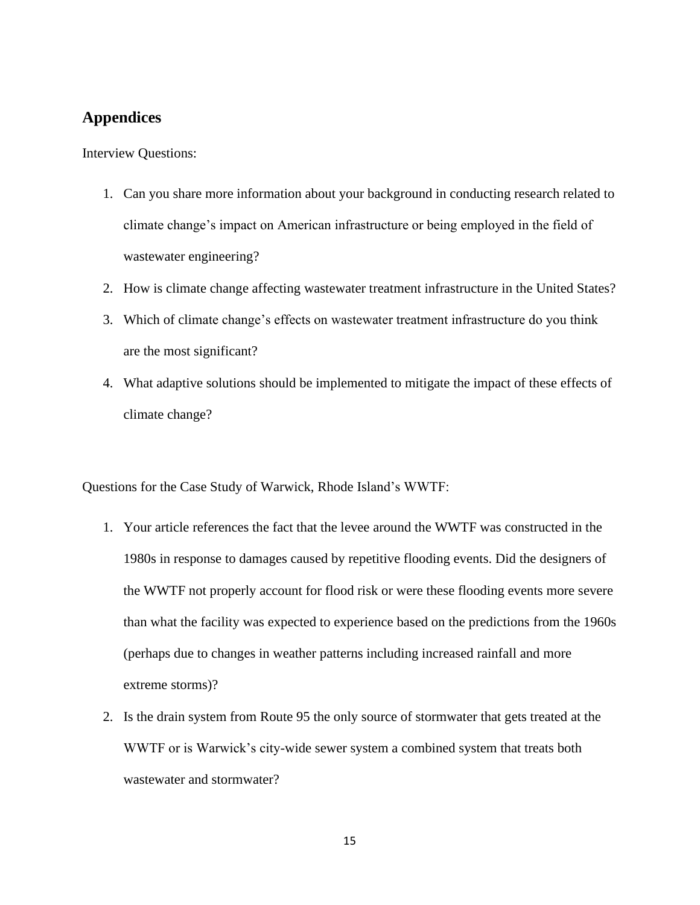### <span id="page-19-0"></span>**Appendices**

Interview Questions:

- 1. Can you share more information about your background in conducting research related to climate change's impact on American infrastructure or being employed in the field of wastewater engineering?
- 2. How is climate change affecting wastewater treatment infrastructure in the United States?
- 3. Which of climate change's effects on wastewater treatment infrastructure do you think are the most significant?
- 4. What adaptive solutions should be implemented to mitigate the impact of these effects of climate change?

Questions for the Case Study of Warwick, Rhode Island's WWTF:

- 1. Your article references the fact that the levee around the WWTF was constructed in the 1980s in response to damages caused by repetitive flooding events. Did the designers of the WWTF not properly account for flood risk or were these flooding events more severe than what the facility was expected to experience based on the predictions from the 1960s (perhaps due to changes in weather patterns including increased rainfall and more extreme storms)?
- 2. Is the drain system from Route 95 the only source of stormwater that gets treated at the WWTF or is Warwick's city-wide sewer system a combined system that treats both wastewater and stormwater?